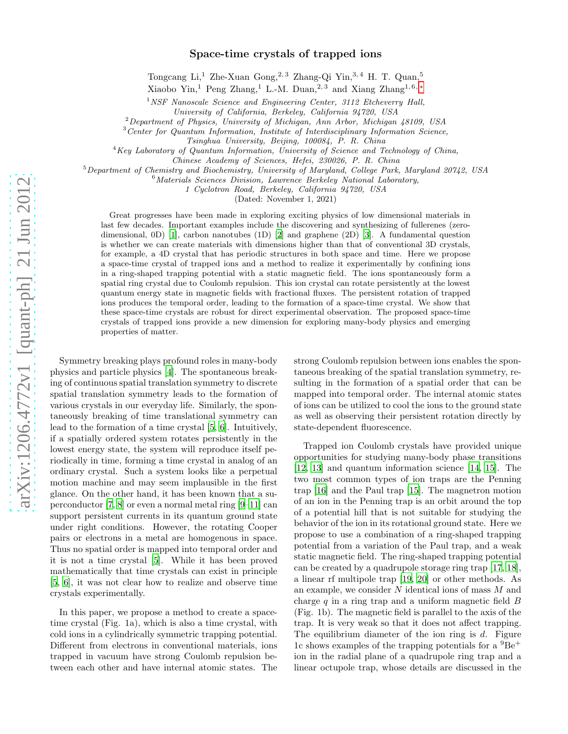## Space-time crystals of trapped ions

Tongcang Li,<sup>1</sup> Zhe-Xuan Gong,<sup>2,3</sup> Zhang-Qi Yin,<sup>3,4</sup> H. T. Quan,<sup>5</sup>

Xiaobo Yin,<sup>1</sup> Peng Zhang,<sup>1</sup> L.-M. Duan,<sup>2,3</sup> and Xiang Zhang<sup>1,6,\*</sup>

<sup>1</sup>NSF Nanoscale Science and Engineering Center, 3112 Etcheverry Hall,

University of California, Berkeley, California 94720, USA

<sup>2</sup>Department of Physics, University of Michigan, Ann Arbor, Michigan 48109, USA

 $3$  Center for Quantum Information, Institute of Interdisciplinary Information Science,

Tsinghua University, Beijing, 100084, P. R. China

 $4$ Key Laboratory of Quantum Information, University of Science and Technology of China,

Chinese Academy of Sciences, Hefei, 230026, P. R. China

 $5$ Department of Chemistry and Biochemistry, University of Maryland, College Park, Maryland 20742, USA

<sup>6</sup> Materials Sciences Division, Lawrence Berkeley National Laboratory,

1 Cyclotron Road, Berkeley, California 94720, USA

(Dated: November 1, 2021)

Great progresses have been made in exploring exciting physics of low dimensional materials in last few decades. Important examples include the discovering and synthesizing of fullerenes (zero-dimensional, 0D) [\[1](#page-4-1)], carbon nanotubes (1D) [\[2\]](#page-4-2) and graphene (2D) [\[3](#page-4-3)]. A fundamental question is whether we can create materials with dimensions higher than that of conventional 3D crystals, for example, a 4D crystal that has periodic structures in both space and time. Here we propose a space-time crystal of trapped ions and a method to realize it experimentally by confining ions in a ring-shaped trapping potential with a static magnetic field. The ions spontaneously form a spatial ring crystal due to Coulomb repulsion. This ion crystal can rotate persistently at the lowest quantum energy state in magnetic fields with fractional fluxes. The persistent rotation of trapped ions produces the temporal order, leading to the formation of a space-time crystal. We show that these space-time crystals are robust for direct experimental observation. The proposed space-time crystals of trapped ions provide a new dimension for exploring many-body physics and emerging properties of matter.

Symmetry breaking plays profound roles in many-body physics and particle physics [\[4](#page-4-4)]. The spontaneous breaking of continuous spatial translation symmetry to discrete spatial translation symmetry leads to the formation of various crystals in our everyday life. Similarly, the spontaneously breaking of time translational symmetry can lead to the formation of a time crystal [\[5](#page-4-5), [6](#page-4-6)]. Intuitively, if a spatially ordered system rotates persistently in the lowest energy state, the system will reproduce itself periodically in time, forming a time crystal in analog of an ordinary crystal. Such a system looks like a perpetual motion machine and may seem implausible in the first glance. On the other hand, it has been known that a superconductor  $[7, 8]$  $[7, 8]$  or even a normal metal ring  $[9-11]$  can support persistent currents in its quantum ground state under right conditions. However, the rotating Cooper pairs or electrons in a metal are homogenous in space. Thus no spatial order is mapped into temporal order and it is not a time crystal [\[5\]](#page-4-5). While it has been proved mathematically that time crystals can exist in principle [\[5,](#page-4-5) [6\]](#page-4-6), it was not clear how to realize and observe time crystals experimentally.

In this paper, we propose a method to create a spacetime crystal (Fig. 1a), which is also a time crystal, with cold ions in a cylindrically symmetric trapping potential. Different from electrons in conventional materials, ions trapped in vacuum have strong Coulomb repulsion between each other and have internal atomic states. The

strong Coulomb repulsion between ions enables the spontaneous breaking of the spatial translation symmetry, resulting in the formation of a spatial order that can be mapped into temporal order. The internal atomic states of ions can be utilized to cool the ions to the ground state as well as observing their persistent rotation directly by state-dependent fluorescence.

Trapped ion Coulomb crystals have provided unique opportunities for studying many-body phase transitions [\[12,](#page-4-11) [13](#page-4-12)] and quantum information science [\[14,](#page-4-13) [15](#page-4-14)]. The two most common types of ion traps are the Penning trap [\[16](#page-4-15)] and the Paul trap [\[15](#page-4-14)]. The magnetron motion of an ion in the Penning trap is an orbit around the top of a potential hill that is not suitable for studying the behavior of the ion in its rotational ground state. Here we propose to use a combination of a ring-shaped trapping potential from a variation of the Paul trap, and a weak static magnetic field. The ring-shaped trapping potential can be created by a quadrupole storage ring trap [\[17](#page-4-16), [18\]](#page-4-17), a linear rf multipole trap [\[19,](#page-4-18) [20](#page-4-19)] or other methods. As an example, we consider N identical ions of mass M and charge  $q$  in a ring trap and a uniform magnetic field  $B$ (Fig. 1b). The magnetic field is parallel to the axis of the trap. It is very weak so that it does not affect trapping. The equilibrium diameter of the ion ring is  $d$ . Figure 1c shows examples of the trapping potentials for a  ${}^{9}Be^+$ ion in the radial plane of a quadrupole ring trap and a linear octupole trap, whose details are discussed in the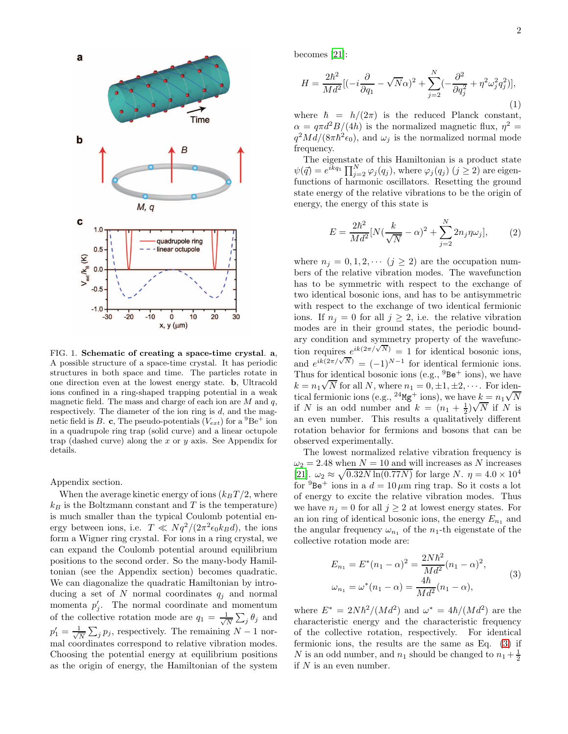

FIG. 1. Schematic of creating a space-time crystal. a, A possible structure of a space-time crystal. It has periodic structures in both space and time. The particles rotate in one direction even at the lowest energy state. b, Ultracold ions confined in a ring-shaped trapping potential in a weak magnetic field. The mass and charge of each ion are  $M$  and  $q$ , respectively. The diameter of the ion ring is  $d$ , and the magnetic field is B. c, The pseudo-potentials  $(V_{ext})$  for a  ${}^{9}Be^+$  ion in a quadrupole ring trap (solid curve) and a linear octupole trap (dashed curve) along the x or y axis. See Appendix for details.

Appendix section.

When the average kinetic energy of ions  $(k_BT/2,$  where  $k_B$  is the Boltzmann constant and T is the temperature) is much smaller than the typical Coulomb potential energy between ions, i.e.  $T \ll Nq^2/(2\pi^2 \epsilon_0 k_B d)$ , the ions form a Wigner ring crystal. For ions in a ring crystal, we can expand the Coulomb potential around equilibrium positions to the second order. So the many-body Hamiltonian (see the Appendix section) becomes quadratic. We can diagonalize the quadratic Hamiltonian by introducing a set of N normal coordinates  $q_j$  and normal momenta  $p'_j$ . The normal coordinate and momentum of the collective rotation mode are  $q_1 = \frac{1}{\sqrt{2}}$  $\frac{1}{N} \sum_j \theta_j$  and  $p'_1 = \frac{1}{\sqrt{2}}$  $\frac{1}{N} \sum_j p_j$ , respectively. The remaining  $N-1$  normal coordinates correspond to relative vibration modes. Choosing the potential energy at equilibrium positions as the origin of energy, the Hamiltonian of the system becomes [\[21](#page-4-20)]:

$$
H = \frac{2\hbar^2}{Md^2} [(-i\frac{\partial}{\partial q_1} - \sqrt{N}\alpha)^2 + \sum_{j=2}^N (-\frac{\partial^2}{\partial q_j^2} + \eta^2 \omega_j^2 q_j^2)],
$$
\n(1)

where  $\hbar = h/(2\pi)$  is the reduced Planck constant,  $\alpha = q \pi d^2 B/(4h)$  is the normalized magnetic flux,  $\eta^2 =$  $q^2Md/(8\pi\hbar^2\epsilon_0)$ , and  $\omega_j$  is the normalized normal mode frequency.

The eigenstate of this Hamiltonian is a product state  $\psi(\vec{q}) = e^{ikq_1} \prod_{j=2}^{N} \varphi_j(q_j)$ , where  $\varphi_j(q_j)$   $(j \geq 2)$  are eigenfunctions of harmonic oscillators. Resetting the ground state energy of the relative vibrations to be the origin of energy, the energy of this state is

$$
E = \frac{2\hbar^2}{Md^2} [N(\frac{k}{\sqrt{N}} - \alpha)^2 + \sum_{j=2}^{N} 2n_j \eta \omega_j],
$$
 (2)

where  $n_j = 0, 1, 2, \cdots (j \geq 2)$  are the occupation numbers of the relative vibration modes. The wavefunction has to be symmetric with respect to the exchange of two identical bosonic ions, and has to be antisymmetric with respect to the exchange of two identical fermionic ions. If  $n_j = 0$  for all  $j \geq 2$ , i.e. the relative vibration modes are in their ground states, the periodic boundary condition and symmetry property of the wavefunction requires  $e^{ik(2\pi/\sqrt{N})} = 1$  for identical bosonic ions, and  $e^{ik(2\pi/\sqrt{N})} = (-1)^{N-1}$  for identical fermionic ions. Thus for identical bosonic ions (e.g.,  ${}^{9}Be^+$  ions), we have  $k = n_1 \sqrt{N}$  for all N, where  $n_1 = 0, \pm 1, \pm 2, \cdots$ . For identical fermionic ions (e.g.,  ${}^{24}$ Mg<sup>+</sup> ions), we have  $k = n_1 \sqrt{N}$ if N is an odd number and  $k = (n_1 + \frac{1}{2})\sqrt{N}$  if N is an even number. This results a qualitatively different rotation behavior for fermions and bosons that can be observed experimentally.

The lowest normalized relative vibration frequency is  $\omega_2=2.48$  when  $N=10$  and will increases as  $N$  increases  $[21]$ ,  $\omega_2 \approx \sqrt{0.32N \ln(0.77N)}$  for large  $N$ .  $\eta = 4.0 \times 10^4$ for  ${}^{9}$ Be<sup>+</sup> ions in a  $d = 10 \,\mu$ m ring trap. So it costs a lot of energy to excite the relative vibration modes. Thus we have  $n_j = 0$  for all  $j \geq 2$  at lowest energy states. For an ion ring of identical bosonic ions, the energy  $E_{n_1}$  and the angular frequency  $\omega_{n_1}$  of the  $n_1$ -th eigenstate of the collective rotation mode are:

<span id="page-1-0"></span>
$$
E_{n_1} = E^*(n_1 - \alpha)^2 = \frac{2N\hbar^2}{Md^2}(n_1 - \alpha)^2,
$$
  
\n
$$
\omega_{n_1} = \omega^*(n_1 - \alpha) = \frac{4\hbar}{Md^2}(n_1 - \alpha),
$$
\n(3)

where  $E^* = 2N\hbar^2/(Md^2)$  and  $\omega^* = 4\hbar/(Md^2)$  are the characteristic energy and the characteristic frequency of the collective rotation, respectively. For identical fermionic ions, the results are the same as Eq. [\(3\)](#page-1-0) if N is an odd number, and  $n_1$  should be changed to  $n_1 + \frac{1}{2}$ if  $N$  is an even number.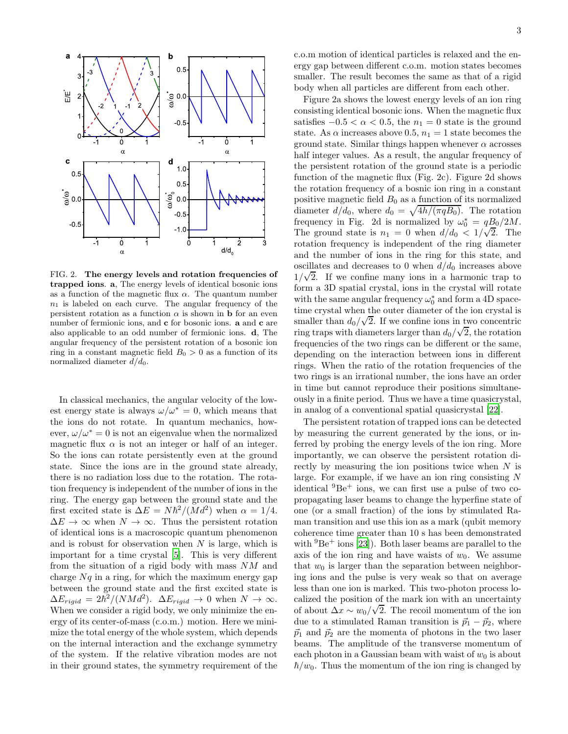

FIG. 2. The energy levels and rotation frequencies of trapped ions. a, The energy levels of identical bosonic ions as a function of the magnetic flux  $\alpha$ . The quantum number  $n_1$  is labeled on each curve. The angular frequency of the persistent rotation as a function  $\alpha$  is shown in **b** for an even number of fermionic ions, and **c** for bosonic ions. **a** and **c** are also applicable to an odd number of fermionic ions. d, The angular frequency of the persistent rotation of a bosonic ion ring in a constant magnetic field  $B_0 > 0$  as a function of its normalized diameter  $d/d_0$ .

In classical mechanics, the angular velocity of the lowest energy state is always  $\omega/\omega^* = 0$ , which means that the ions do not rotate. In quantum mechanics, however,  $\omega/\omega^* = 0$  is not an eigenvalue when the normalized magnetic flux  $\alpha$  is not an integer or half of an integer. So the ions can rotate persistently even at the ground state. Since the ions are in the ground state already, there is no radiation loss due to the rotation. The rotation frequency is independent of the number of ions in the ring. The energy gap between the ground state and the first excited state is  $\Delta E = N\hbar^2/(Md^2)$  when  $\alpha = 1/4$ .  $\Delta E \to \infty$  when  $N \to \infty$ . Thus the persistent rotation of identical ions is a macroscopic quantum phenomenon and is robust for observation when  $N$  is large, which is important for a time crystal [\[5\]](#page-4-5). This is very different from the situation of a rigid body with mass NM and charge  $Nq$  in a ring, for which the maximum energy gap between the ground state and the first excited state is  $\Delta E_{rigid} = 2\hbar^2/(NMd^2)$ .  $\Delta E_{rigid} \rightarrow 0$  when  $N \rightarrow \infty$ . When we consider a rigid body, we only minimize the energy of its center-of-mass (c.o.m.) motion. Here we minimize the total energy of the whole system, which depends on the internal interaction and the exchange symmetry of the system. If the relative vibration modes are not in their ground states, the symmetry requirement of the

c.o.m motion of identical particles is relaxed and the energy gap between different c.o.m. motion states becomes smaller. The result becomes the same as that of a rigid body when all particles are different from each other.

Figure 2a shows the lowest energy levels of an ion ring consisting identical bosonic ions. When the magnetic flux satisfies  $-0.5 < \alpha < 0.5$ , the  $n_1 = 0$  state is the ground state. As  $\alpha$  increases above 0.5,  $n_1 = 1$  state becomes the ground state. Similar things happen whenever  $\alpha$  acrosses half integer values. As a result, the angular frequency of the persistent rotation of the ground state is a periodic function of the magnetic flux (Fig. 2c). Figure 2d shows the rotation frequency of a bosnic ion ring in a constant positive magnetic field  $B_0$  as a function of its normalized diameter  $d/d_0$ , where  $d_0 = \sqrt{4h/(\pi qB_0)}$ . The rotation frequency in Fig. 2d is normalized by  $\omega_0^* = qB_0/2M$ . The ground state is  $n_1 = 0$  when  $d/d_0 < 1/\sqrt{2}$ . The rotation frequency is independent of the ring diameter and the number of ions in the ring for this state, and oscillates and decreases to 0 when  $d/d_0$  increases above  $1/\sqrt{2}$ . If we confine many ions in a harmonic trap to form a 3D spatial crystal, ions in the crystal will rotate with the same angular frequency  $\omega_0^*$  and form a 4D spacetime crystal when the outer diameter of the ion crystal is smaller than  $d_0/\sqrt{2}$ . If we confine ions in two concentric ring traps with diameters larger than  $d_0/\sqrt{2}$ , the rotation frequencies of the two rings can be different or the same, depending on the interaction between ions in different rings. When the ratio of the rotation frequencies of the two rings is an irrational number, the ions have an order in time but cannot reproduce their positions simultaneously in a finite period. Thus we have a time quasicrystal, in analog of a conventional spatial quasicrystal [\[22](#page-4-21)].

The persistent rotation of trapped ions can be detected by measuring the current generated by the ions, or inferred by probing the energy levels of the ion ring. More importantly, we can observe the persistent rotation directly by measuring the ion positions twice when N is large. For example, if we have an ion ring consisting  $N$ identical  ${}^{9}Be^+$  ions, we can first use a pulse of two copropagating laser beams to change the hyperfine state of one (or a small fraction) of the ions by stimulated Raman transition and use this ion as a mark (qubit memory coherence time greater than 10 s has been demonstrated with  ${}^{9}Be^+$  ions [\[23](#page-4-22)]). Both laser beams are parallel to the axis of the ion ring and have waists of  $w_0$ . We assume that  $w_0$  is larger than the separation between neighboring ions and the pulse is very weak so that on average less than one ion is marked. This two-photon process localized the position of the mark ion with an uncertainty of about  $\Delta x \sim w_0/\sqrt{2}$ . The recoil momentum of the ion due to a stimulated Raman transition is  $\vec{p}_1 - \vec{p}_2$ , where  $\vec{p}_1$  and  $\vec{p}_2$  are the momenta of photons in the two laser beams. The amplitude of the transverse momentum of each photon in a Gaussian beam with waist of  $w_0$  is about  $\hbar/w_0$ . Thus the momentum of the ion ring is changed by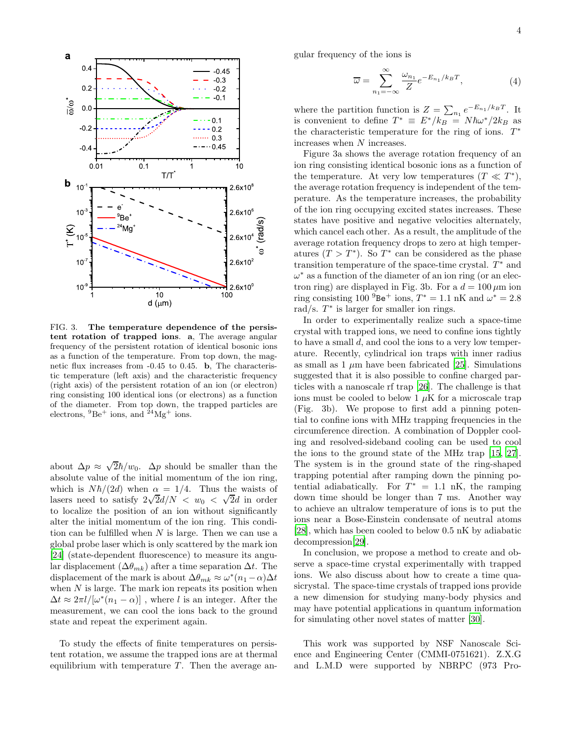

FIG. 3. The temperature dependence of the persistent rotation of trapped ions. a, The average angular frequency of the persistent rotation of identical bosonic ions as a function of the temperature. From top down, the magnetic flux increases from -0.45 to 0.45. b, The characteristic temperature (left axis) and the characteristic frequency (right axis) of the persistent rotation of an ion (or electron) ring consisting 100 identical ions (or electrons) as a function of the diameter. From top down, the trapped particles are electrons,  ${}^{9}Be^+$  ions, and  ${}^{24}Mg^+$  ions.

about  $\Delta p \approx \sqrt{2}\hbar/w_0$ .  $\Delta p$  should be smaller than the absolute value of the initial momentum of the ion ring, which is  $N\hbar/(2d)$  when  $\alpha = 1/4$ . Thus the waists of lasers need to satisfy  $2\sqrt{2}d/N < w_0 < \sqrt{2}d$  in order to localize the position of an ion without significantly alter the initial momentum of the ion ring. This condition can be fulfilled when  $N$  is large. Then we can use a global probe laser which is only scattered by the mark ion [\[24\]](#page-4-23) (state-dependent fluorescence) to measure its angular displacement  $(\Delta\theta_{mk})$  after a time separation  $\Delta t$ . The displacement of the mark is about  $\Delta\theta_{mk} \approx \omega^*(n_1-\alpha)\Delta t$ when  $N$  is large. The mark ion repeats its position when  $\Delta t \approx 2\pi l/[\omega^*(n_1-\alpha)]$ , where l is an integer. After the measurement, we can cool the ions back to the ground state and repeat the experiment again.

To study the effects of finite temperatures on persistent rotation, we assume the trapped ions are at thermal equilibrium with temperature  $T$ . Then the average angular frequency of the ions is

$$
\overline{\omega} = \sum_{n_1 = -\infty}^{\infty} \frac{\omega_{n_1}}{Z} e^{-E_{n_1}/k_B T}, \tag{4}
$$

where the partition function is  $Z = \sum_{n_1} e^{-E_{n_1}/k_B T}$ . It is convenient to define  $T^* \equiv E^* / k_B = N \hbar \omega^* / 2k_B$  as the characteristic temperature for the ring of ions.  $T^*$ increases when N increases.

Figure 3a shows the average rotation frequency of an ion ring consisting identical bosonic ions as a function of the temperature. At very low temperatures  $(T \ll T^*)$ , the average rotation frequency is independent of the temperature. As the temperature increases, the probability of the ion ring occupying excited states increases. These states have positive and negative velocities alternately, which cancel each other. As a result, the amplitude of the average rotation frequency drops to zero at high temperatures  $(T > T^*)$ . So  $T^*$  can be considered as the phase transition temperature of the space-time crystal.  $T^*$  and  $\omega^*$  as a function of the diameter of an ion ring (or an electron ring) are displayed in Fig. 3b. For a  $d = 100 \,\mu \mathrm{m}$  ion ring consisting 100  $^{9}$ Be<sup>+</sup> ions,  $T^* = 1.1$  nK and  $\omega^* = 2.8$ rad/s.  $T^*$  is larger for smaller ion rings.

In order to experimentally realize such a space-time crystal with trapped ions, we need to confine ions tightly to have a small d, and cool the ions to a very low temperature. Recently, cylindrical ion traps with inner radius as small as  $1 \mu m$  have been fabricated [\[25\]](#page-5-0). Simulations suggested that it is also possible to confine charged particles with a nanoscale rf trap [\[26\]](#page-5-1). The challenge is that ions must be cooled to below 1  $\mu$ K for a microscale trap (Fig. 3b). We propose to first add a pinning potential to confine ions with MHz trapping frequencies in the circumference direction. A combination of Doppler cooling and resolved-sideband cooling can be used to cool the ions to the ground state of the MHz trap [\[15,](#page-4-14) [27\]](#page-5-2). The system is in the ground state of the ring-shaped trapping potential after ramping down the pinning potential adiabatically. For  $T^* = 1.1$  nK, the ramping down time should be longer than 7 ms. Another way to achieve an ultralow temperature of ions is to put the ions near a Bose-Einstein condensate of neutral atoms [\[28\]](#page-5-3), which has been cooled to below 0.5 nK by adiabatic decompression[\[29\]](#page-5-4).

In conclusion, we propose a method to create and observe a space-time crystal experimentally with trapped ions. We also discuss about how to create a time quasicrystal. The space-time crystals of trapped ions provide a new dimension for studying many-body physics and may have potential applications in quantum information for simulating other novel states of matter [\[30\]](#page-5-5).

This work was supported by NSF Nanoscale Science and Engineering Center (CMMI-0751621). Z.X.G and L.M.D were supported by NBRPC (973 Pro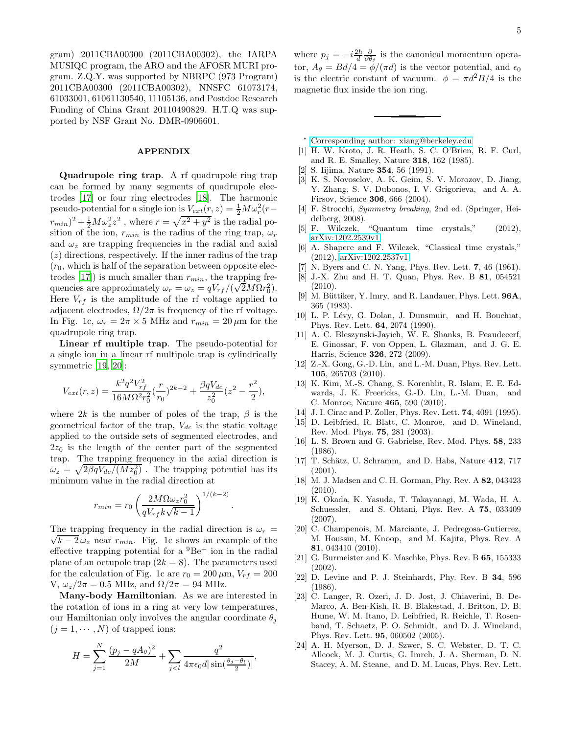gram) 2011CBA00300 (2011CBA00302), the IARPA MUSIQC program, the ARO and the AFOSR MURI program. Z.Q.Y. was supported by NBRPC (973 Program) 2011CBA00300 (2011CBA00302), NNSFC 61073174, 61033001, 61061130540, 11105136, and Postdoc Research Funding of China Grant 20110490829. H.T.Q was supported by NSF Grant No. DMR-0906601.

## APPENDIX

Quadrupole ring trap. A rf quadrupole ring trap can be formed by many segments of quadrupole electrodes [\[17](#page-4-16)] or four ring electrodes [\[18](#page-4-17)]. The harmonic pseudo-potential for a single ion is  $V_{ext}(r, z) = \frac{1}{2} M \omega_r^2(r - z)$  $(r_{min})^2 + \frac{1}{2}M\omega_z^2 z^2$ , where  $r = \sqrt{x^2 + y^2}$  is the radial position of the ion,  $r_{min}$  is the radius of the ring trap,  $\omega_r$ and  $\omega_z$  are trapping frequencies in the radial and axial  $(z)$  directions, respectively. If the inner radius of the trap  $(r_0,$  which is half of the separation between opposite elec-trodes [\[17\]](#page-4-16)) is much smaller than  $r_{min}$ , the trapping frequencies are approximately  $\omega_r = \omega_z = qV_{rf}/(\sqrt{2}M\Omega r_0^2)$ . Here  $V_{rf}$  is the amplitude of the rf voltage applied to adjacent electrodes,  $\Omega/2\pi$  is frequency of the rf voltage. In Fig. 1c,  $\omega_r = 2\pi \times 5$  MHz and  $r_{min} = 20 \,\mu \text{m}$  for the quadrupole ring trap.

Linear rf multiple trap. The pseudo-potential for a single ion in a linear rf multipole trap is cylindrically symmetric [\[19](#page-4-18), [20](#page-4-19)]:

$$
V_{ext}(r,z) = \frac{k^2 q^2 V_{rf}^2}{16M\Omega^2 r_0^2} (\frac{r}{r_0})^{2k-2} + \frac{\beta q V_{dc}}{z_0^2} (z^2 - \frac{r^2}{2}),
$$

where 2k is the number of poles of the trap,  $\beta$  is the geometrical factor of the trap,  $V_{dc}$  is the static voltage applied to the outside sets of segmented electrodes, and  $2z_0$  is the length of the center part of the segmented trap. The trapping frequency in the axial direction is  $\omega_z = \sqrt{2\beta q V_{dc}/(Mz_0^2)}$ . The trapping potential has its minimum value in the radial direction at

$$
r_{min} = r_0 \left(\frac{2M\Omega\omega_z r_0^2}{qV_{rf}k\sqrt{k-1}}\right)^{1/(k-2)}
$$

.

The trapping frequency in the radial direction is  $\omega_r =$  $\sqrt{k-2}\omega_z$  near  $r_{min}$ . Fig. 1c shows an example of the effective trapping potential for a  $^{9}Be^{+}$  ion in the radial plane of an octupole trap  $(2k = 8)$ . The parameters used for the calculation of Fig. 1c are  $r_0 = 200 \,\mu \text{m}$ ,  $V_{rf} = 200$ V,  $\omega_z/2\pi = 0.5$  MHz, and  $\Omega/2\pi = 94$  MHz.

Many-body Hamiltonian. As we are interested in the rotation of ions in a ring at very low temperatures, our Hamiltonian only involves the angular coordinate  $\theta_i$  $(j = 1, \dots, N)$  of trapped ions:

$$
H = \sum_{j=1}^{N} \frac{(p_j - qA_{\theta})^2}{2M} + \sum_{j < l} \frac{q^2}{4\pi\epsilon_0 d |\sin(\frac{\theta_j - \theta_l}{2})|},
$$

where  $p_j = -i\frac{2\hbar}{d} \frac{\partial}{\partial \theta_j}$  is the canonical momentum operator,  $A_{\theta} = Bd/4 = \phi/(\pi d)$  is the vector potential, and  $\epsilon_0$ is the electric constant of vacuum.  $\phi = \pi d^2 B/4$  is the magnetic flux inside the ion ring.

- <span id="page-4-0"></span><sup>∗</sup> [Corresponding author: xiang@berkeley.edu](mailto:Corresponding author: xiang@berkeley.edu)
- <span id="page-4-1"></span>[1] H. W. Kroto, J. R. Heath, S. C. O'Brien, R. F. Curl, and R. E. Smalley, Nature 318, 162 (1985).
- <span id="page-4-2"></span>[2] S. Iijima, Nature 354, 56 (1991).
- <span id="page-4-3"></span>[3] K. S. Novoselov, A. K. Geim, S. V. Morozov, D. Jiang, Y. Zhang, S. V. Dubonos, I. V. Grigorieva, and A. A. Firsov, Science 306, 666 (2004).
- <span id="page-4-4"></span>[4] F. Strocchi, Symmetry breaking, 2nd ed. (Springer, Heidelberg, 2008).<br>[5] F. Wilczek,
- <span id="page-4-5"></span>"Quantum time crystals,"  $(2012)$ , [arXiv:1202.2539v1.](http://arxiv.org/abs/arXiv:1202.2539v1)
- <span id="page-4-6"></span>[6] A. Shapere and F. Wilczek, "Classical time crystals," (2012), [arXiv:1202.2537v1.](http://arxiv.org/abs/arXiv:1202.2537v1)
- <span id="page-4-7"></span>[7] N. Byers and C. N. Yang, Phys. Rev. Lett. 7, 46 (1961).
- <span id="page-4-8"></span>[8] J.-X. Zhu and H. T. Quan, Phys. Rev. B 81, 054521 (2010).
- <span id="page-4-9"></span>[9] M. Büttiker, Y. Imry, and R. Landauer, Phys. Lett. 96A, 365 (1983).
- [10] L. P. Lévy, G. Dolan, J. Dunsmuir, and H. Bouchiat, Phys. Rev. Lett. 64, 2074 (1990).
- <span id="page-4-10"></span>[11] A. C. Bleszynski-Jayich, W. E. Shanks, B. Peaudecerf, E. Ginossar, F. von Oppen, L. Glazman, and J. G. E. Harris, Science 326, 272 (2009).
- <span id="page-4-11"></span>[12] Z.-X. Gong, G.-D. Lin, and L.-M. Duan, Phys. Rev. Lett. 105, 265703 (2010).
- <span id="page-4-12"></span>[13] K. Kim, M.-S. Chang, S. Korenblit, R. Islam, E. E. Edwards, J. K. Freericks, G.-D. Lin, L.-M. Duan, and C. Monroe, Nature 465, 590 (2010).
- <span id="page-4-13"></span>[14] J. I. Cirac and P. Zoller, Phys. Rev. Lett. **74**, 4091 (1995).
- <span id="page-4-14"></span>[15] D. Leibfried, R. Blatt, C. Monroe, and D. Wineland, Rev. Mod. Phys. 75, 281 (2003).
- <span id="page-4-15"></span>[16] L. S. Brown and G. Gabrielse, Rev. Mod. Phys. 58, 233 (1986).
- <span id="page-4-16"></span>[17] T. Schätz, U. Schramm, and D. Habs, Nature  $412$ , 717 (2001).
- <span id="page-4-17"></span>[18] M. J. Madsen and C. H. Gorman, Phy. Rev. A 82, 043423 (2010).
- <span id="page-4-18"></span>[19] K. Okada, K. Yasuda, T. Takayanagi, M. Wada, H. A. Schuessler, and S. Ohtani, Phys. Rev. A 75, 033409 (2007).
- <span id="page-4-19"></span>[20] C. Champenois, M. Marciante, J. Pedregosa-Gutierrez, M. Houssin, M. Knoop, and M. Kajita, Phys. Rev. A 81, 043410 (2010).
- <span id="page-4-20"></span>[21] G. Burmeister and K. Maschke, Phys. Rev. B 65, 155333 (2002).
- <span id="page-4-21"></span>[22] D. Levine and P. J. Steinhardt, Phy. Rev. B 34, 596 (1986).
- <span id="page-4-22"></span>[23] C. Langer, R. Ozeri, J. D. Jost, J. Chiaverini, B. De-Marco, A. Ben-Kish, R. B. Blakestad, J. Britton, D. B. Hume, W. M. Itano, D. Leibfried, R. Reichle, T. Rosenband, T. Schaetz, P. O. Schmidt, and D. J. Wineland, Phys. Rev. Lett. 95, 060502 (2005).
- <span id="page-4-23"></span>[24] A. H. Myerson, D. J. Szwer, S. C. Webster, D. T. C. Allcock, M. J. Curtis, G. Imreh, J. A. Sherman, D. N. Stacey, A. M. Steane, and D. M. Lucas, Phys. Rev. Lett.